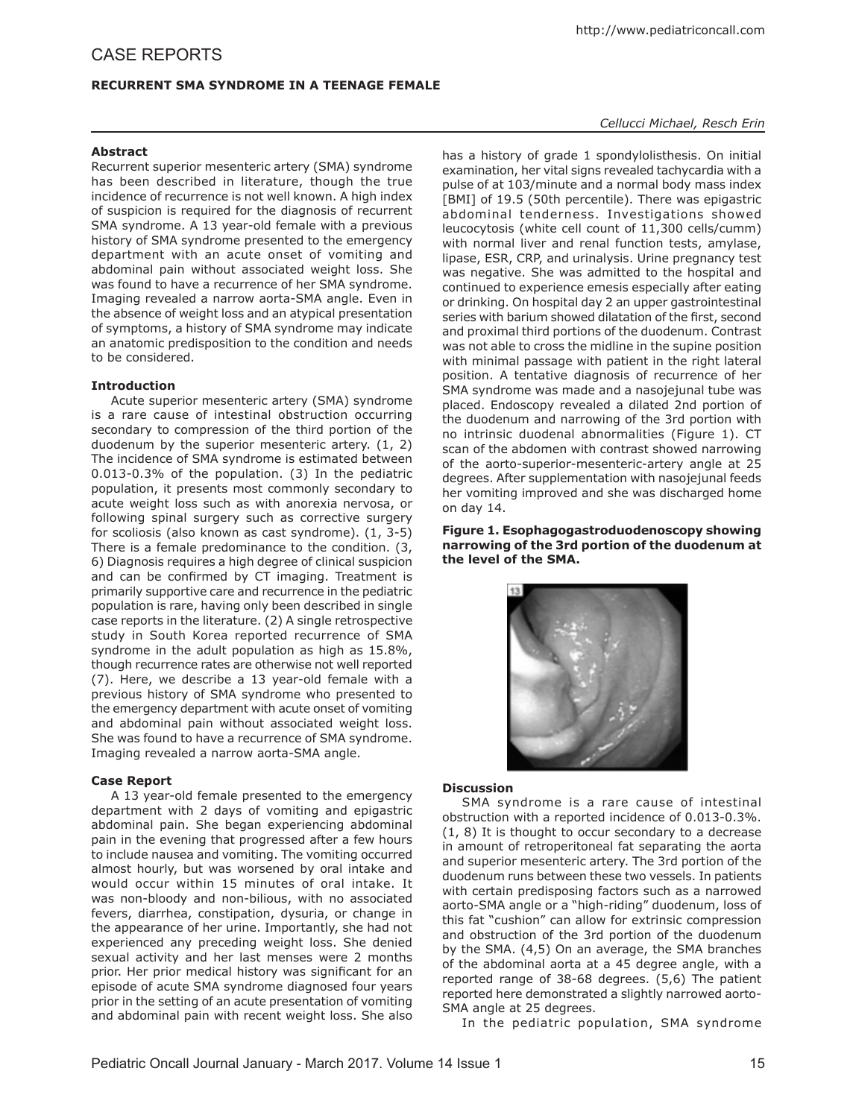# **RECURRENT SMA SYNDROME IN A TEENAGE FEMALE**

### **Abstract**

Recurrent superior mesenteric artery (SMA) syndrome has been described in literature, though the true incidence of recurrence is not well known. A high index of suspicion is required for the diagnosis of recurrent SMA syndrome. A 13 year-old female with a previous history of SMA syndrome presented to the emergency department with an acute onset of vomiting and abdominal pain without associated weight loss. She was found to have a recurrence of her SMA syndrome. Imaging revealed a narrow aorta-SMA angle. Even in the absence of weight loss and an atypical presentation of symptoms, a history of SMA syndrome may indicate an anatomic predisposition to the condition and needs to be considered.

## **Introduction**

Acute superior mesenteric artery (SMA) syndrome is a rare cause of intestinal obstruction occurring secondary to compression of the third portion of the duodenum by the superior mesenteric artery. (1, 2) The incidence of SMA syndrome is estimated between 0.013-0.3% of the population. (3) In the pediatric population, it presents most commonly secondary to acute weight loss such as with anorexia nervosa, or following spinal surgery such as corrective surgery for scoliosis (also known as cast syndrome). (1, 3-5) There is a female predominance to the condition. (3, 6) Diagnosis requires a high degree of clinical suspicion and can be confirmed by CT imaging. Treatment is primarily supportive care and recurrence in the pediatric population is rare, having only been described in single case reports in the literature. (2) A single retrospective study in South Korea reported recurrence of SMA syndrome in the adult population as high as 15.8%, though recurrence rates are otherwise not well reported (7). Here, we describe a 13 year-old female with a previous history of SMA syndrome who presented to the emergency department with acute onset of vomiting and abdominal pain without associated weight loss. She was found to have a recurrence of SMA syndrome. Imaging revealed a narrow aorta-SMA angle.

#### **Case Report**

A 13 year-old female presented to the emergency department with 2 days of vomiting and epigastric abdominal pain. She began experiencing abdominal pain in the evening that progressed after a few hours to include nausea and vomiting. The vomiting occurred almost hourly, but was worsened by oral intake and would occur within 15 minutes of oral intake. It was non-bloody and non-bilious, with no associated fevers, diarrhea, constipation, dysuria, or change in the appearance of her urine. Importantly, she had not experienced any preceding weight loss. She denied sexual activity and her last menses were 2 months prior. Her prior medical history was significant for an episode of acute SMA syndrome diagnosed four years prior in the setting of an acute presentation of vomiting and abdominal pain with recent weight loss. She also

### *Cellucci Michael, Resch Erin*

has a history of grade 1 spondylolisthesis. On initial examination, her vital signs revealed tachycardia with a pulse of at 103/minute and a normal body mass index [BMI] of 19.5 (50th percentile). There was epigastric abdominal tenderness. Investigations showed leucocytosis (white cell count of 11,300 cells/cumm) with normal liver and renal function tests, amylase, lipase, ESR, CRP, and urinalysis. Urine pregnancy test was negative. She was admitted to the hospital and continued to experience emesis especially after eating or drinking. On hospital day 2 an upper gastrointestinal series with barium showed dilatation of the first, second and proximal third portions of the duodenum. Contrast was not able to cross the midline in the supine position with minimal passage with patient in the right lateral position. A tentative diagnosis of recurrence of her SMA syndrome was made and a nasojejunal tube was placed. Endoscopy revealed a dilated 2nd portion of the duodenum and narrowing of the 3rd portion with no intrinsic duodenal abnormalities (Figure 1). CT scan of the abdomen with contrast showed narrowing of the aorto-superior-mesenteric-artery angle at 25 degrees. After supplementation with nasojejunal feeds her vomiting improved and she was discharged home on day 14.

**Figure 1. Esophagogastroduodenoscopy showing narrowing of the 3rd portion of the duodenum at the level of the SMA.**



#### **Discussion**

SMA syndrome is a rare cause of intestinal obstruction with a reported incidence of 0.013-0.3%. (1, 8) It is thought to occur secondary to a decrease in amount of retroperitoneal fat separating the aorta and superior mesenteric artery. The 3rd portion of the duodenum runs between these two vessels. In patients with certain predisposing factors such as a narrowed aorto-SMA angle or a "high-riding" duodenum, loss of this fat "cushion" can allow for extrinsic compression and obstruction of the 3rd portion of the duodenum by the SMA. (4,5) On an average, the SMA branches of the abdominal aorta at a 45 degree angle, with a reported range of 38-68 degrees. (5,6) The patient reported here demonstrated a slightly narrowed aorto-SMA angle at 25 degrees.

In the pediatric population, SMA syndrome